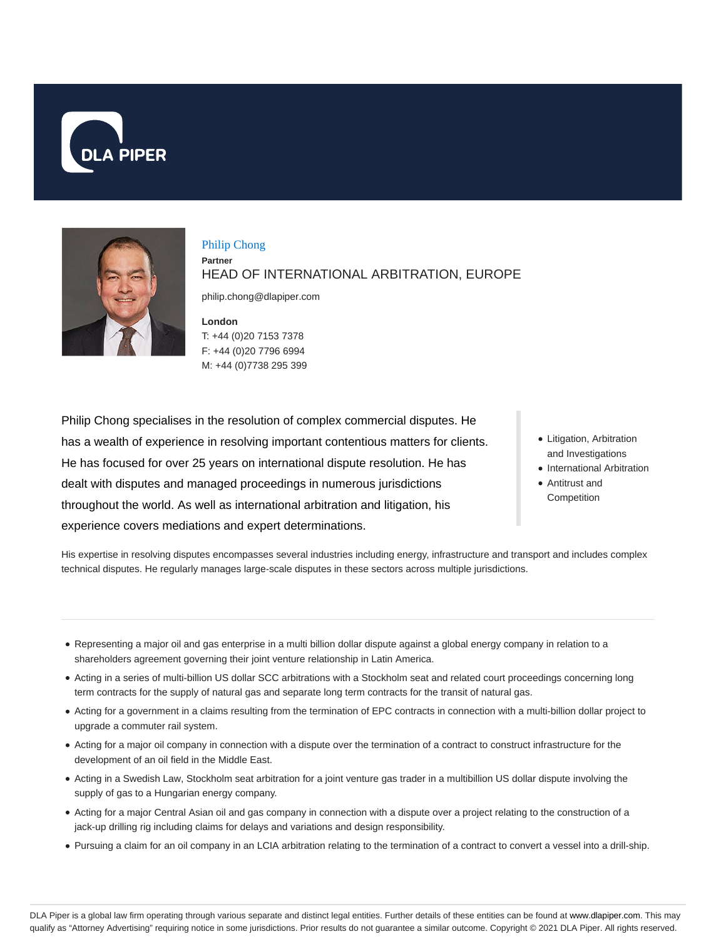



Philip Chong **Partner** HEAD OF INTERNATIONAL ARBITRATION, EUROPE

philip.chong@dlapiper.com

**London** T: +44 (0)20 7153 7378 F: +44 (0)20 7796 6994 M: +44 (0)7738 295 399

Philip Chong specialises in the resolution of complex commercial disputes. He has a wealth of experience in resolving important contentious matters for clients. He has focused for over 25 years on international dispute resolution. He has dealt with disputes and managed proceedings in numerous jurisdictions throughout the world. As well as international arbitration and litigation, his experience covers mediations and expert determinations.

- Litigation, Arbitration and Investigations
- International Arbitration
- Antitrust and **Competition**

His expertise in resolving disputes encompasses several industries including energy, infrastructure and transport and includes complex technical disputes. He regularly manages large-scale disputes in these sectors across multiple jurisdictions.

- Representing a major oil and gas enterprise in a multi billion dollar dispute against a global energy company in relation to a shareholders agreement governing their joint venture relationship in Latin America.
- Acting in a series of multi-billion US dollar SCC arbitrations with a Stockholm seat and related court proceedings concerning long term contracts for the supply of natural gas and separate long term contracts for the transit of natural gas.
- Acting for a government in a claims resulting from the termination of EPC contracts in connection with a multi-billion dollar project to upgrade a commuter rail system.
- Acting for a major oil company in connection with a dispute over the termination of a contract to construct infrastructure for the development of an oil field in the Middle East.
- Acting in a Swedish Law, Stockholm seat arbitration for a joint venture gas trader in a multibillion US dollar dispute involving the supply of gas to a Hungarian energy company.
- Acting for a major Central Asian oil and gas company in connection with a dispute over a project relating to the construction of a jack-up drilling rig including claims for delays and variations and design responsibility.
- Pursuing a claim for an oil company in an LCIA arbitration relating to the termination of a contract to convert a vessel into a drill-ship.